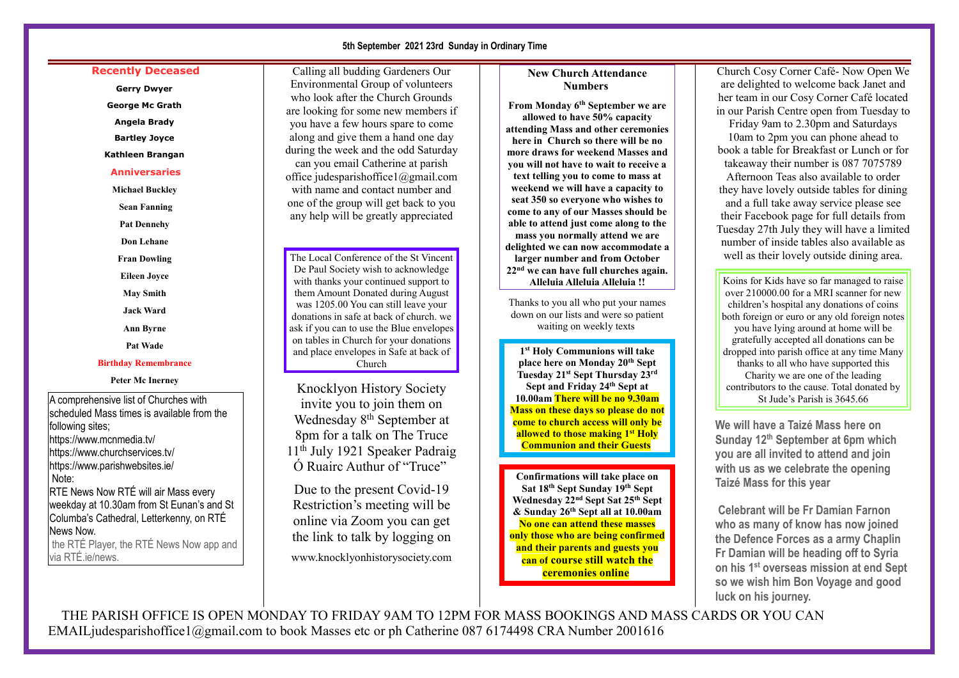### **Recently Deceased**

**Gerry Dwyer** 

**George Mc Grath** 

**Angela Brady** 

**Bartley Joyce** 

**Kathleen Brangan** 

### **Anniversaries**

**Michael Buckley** 

**Sean Fanning**

**Pat Dennehy** 

**Don Lehane** 

**Fran Dowling** 

**Eileen Joyce** 

**May Smith** 

**Jack Ward** 

**Ann Byrne** 

**Pat Wade** 

### **Birthday Remembrance**

**Peter Mc Inerney** 

A comprehensive list of Churches with scheduled Mass times is available from the following sites; https://www.mcnmedia.tv/ https://www.churchservices.tv/ https://www.parishwebsites.ie/ Note: RTE News Now RTÉ will air Mass every weekday at 10.30am from St Eunan's and St Columba's Cathedral, Letterkenny, on RTÉ News Now. the RTÉ Player, the RTÉ News Now app and via RTÉ.ie/news.

Calling all budding Gardeners Our Environmental Group of volunteers who look after the Church Grounds are looking for some new members if you have a few hours spare to come along and give them a hand one day during the week and the odd Saturday can you email Catherine at parish office judesparishoffice1@gmail.com with name and contact number and one of the group will get back to you any help will be greatly appreciated

The Local Conference of the St Vincent De Paul Society wish to acknowledge with thanks your continued support to them Amount Donated during August was 1205.00 You can still leave your donations in safe at back of church. we ask if you can to use the Blue envelopes on tables in Church for your donations and place envelopes in Safe at back of Church

Knocklyon History Society invite you to join them on Wednesday 8th September at 8pm for a talk on The Truce 11th July 1921 Speaker Padraig Ó Ruairc Authur of "Truce"

Due to the present Covid-19 Restriction's meeting will be online via Zoom you can get the link to talk by logging on

www.knocklyonhistorysociety.com

# **New Church Attendance Numbers**

**From Monday 6th September we are allowed to have 50% capacity attending Mass and other ceremonies here in Church so there will be no more draws for weekend Masses and you will not have to wait to receive a text telling you to come to mass at weekend we will have a capacity to seat 350 so everyone who wishes to come to any of our Masses should be able to attend just come along to the mass you normally attend we are delighted we can now accommodate a larger number and from October 22nd we can have full churches again. Alleluia Alleluia Alleluia !!**

Thanks to you all who put your names down on our lists and were so patient waiting on weekly texts

**1 st Holy Communions will take place here on Monday 20th Sept Tuesday 21st Sept Thursday 23rd Sept and Friday 24th Sept at 10.00am There will be no 9.30am Mass on these days so please do not come to church access will only be allowed to those making 1st Holy Communion and their Guests**

**Confirmations will take place on Sat 18th Sept Sunday 19th Sept Wednesday 22nd Sept Sat 25th Sept & Sunday 26th Sept all at 10.00am No one can attend these masses only those who are being confirmed and their parents and guests you can of course still watch the ceremonies online**

Church Cosy Corner Café- Now Open We are delighted to welcome back Janet and her team in our Cosy Corner Café located in our Parish Centre open from Tuesday to

Friday 9am to 2.30pm and Saturdays 10am to 2pm you can phone ahead to book a table for Breakfast or Lunch or for takeaway their number is 087 7075789 Afternoon Teas also available to order they have lovely outside tables for dining and a full take away service please see their Facebook page for full details from Tuesday 27th July they will have a limited number of inside tables also available as well as their lovely outside dining area.

Koins for Kids have so far managed to raise over 210000.00 for a MRI scanner for new children's hospital any donations of coins both foreign or euro or any old foreign notes you have lying around at home will be gratefully accepted all donations can be dropped into parish office at any time Many thanks to all who have supported this Charity we are one of the leading contributors to the cause. Total donated by St Jude's Parish is 3645.66

**We will have a Taizé Mass here on Sunday 12th September at 6pm which you are all invited to attend and join with us as we celebrate the opening Taizé Mass for this year**

 **Celebrant will be Fr Damian Farnon who as many of know has now joined the Defence Forces as a army Chaplin Fr Damian will be heading off to Syria on his 1st overseas mission at end Sept so we wish him Bon Voyage and good luck on his journey.**

 THE PARISH OFFICE IS OPEN MONDAY TO FRIDAY 9AM TO 12PM FOR MASS BOOKINGS AND MASS CARDS OR YOU CAN EMAILjudesparishoffice1@gmail.com to book Masses etc or ph Catherine 087 6174498 CRA Number 2001616

# **5th September 2021 23rd Sunday in Ordinary Time**